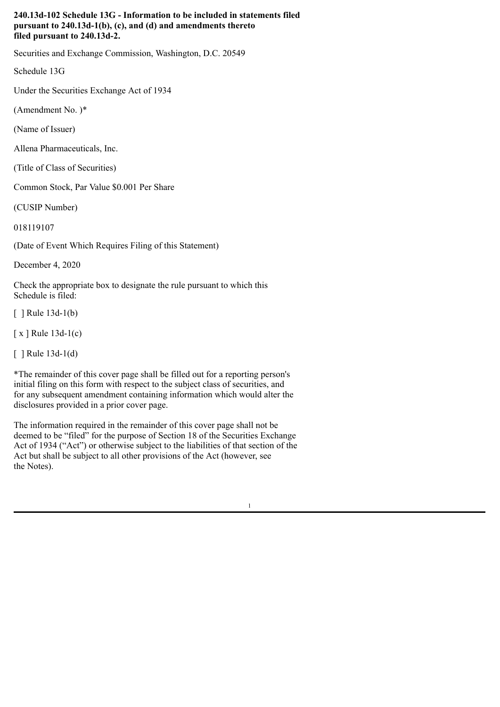## **240.13d-102 Schedule 13G - Information to be included in statements filed pursuant to 240.13d-1(b), (c), and (d) and amendments thereto filed pursuant to 240.13d-2.**

Securities and Exchange Commission, Washington, D.C. 20549

Schedule 13G

Under the Securities Exchange Act of 1934

(Amendment No. )\*

(Name of Issuer)

Allena Pharmaceuticals, Inc.

(Title of Class of Securities)

Common Stock, Par Value \$0.001 Per Share

(CUSIP Number)

018119107

(Date of Event Which Requires Filing of this Statement)

December 4, 2020

Check the appropriate box to designate the rule pursuant to which this Schedule is filed:

 $\lceil$  | Rule 13d-1(b)

[ x ] Rule 13d-1(c)

[ ] Rule 13d-1(d)

\*The remainder of this cover page shall be filled out for a reporting person's initial filing on this form with respect to the subject class of securities, and for any subsequent amendment containing information which would alter the disclosures provided in a prior cover page.

The information required in the remainder of this cover page shall not be deemed to be "filed" for the purpose of Section 18 of the Securities Exchange Act of 1934 ("Act") or otherwise subject to the liabilities of that section of the Act but shall be subject to all other provisions of the Act (however, see the Notes).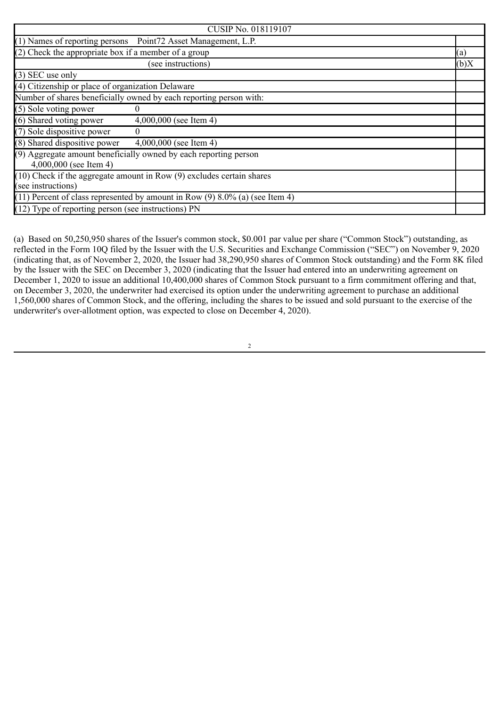| <b>CUSIP No. 018119107</b>                                                                      |      |
|-------------------------------------------------------------------------------------------------|------|
| (1) Names of reporting persons Point72 Asset Management, L.P.                                   |      |
| $(2)$ Check the appropriate box if a member of a group                                          | (a)  |
| (see instructions)                                                                              | (b)X |
| $(3)$ SEC use only                                                                              |      |
| (4) Citizenship or place of organization Delaware                                               |      |
| Number of shares beneficially owned by each reporting person with:                              |      |
| (5) Sole voting power                                                                           |      |
| (6) Shared voting power<br>$4,000,000$ (see Item 4)                                             |      |
| (7) Sole dispositive power<br>$\theta$                                                          |      |
| $(8)$ Shared dispositive power $4,000,000$ (see Item 4)                                         |      |
| (9) Aggregate amount beneficially owned by each reporting person<br>4,000,000 (see Item 4)      |      |
| $(10)$ Check if the aggregate amount in Row $(9)$ excludes certain shares<br>(see instructions) |      |
| (11) Percent of class represented by amount in Row (9) $8.\overline{0\%}$ (a) (see Item 4)      |      |
| (12) Type of reporting person (see instructions) PN                                             |      |

(a) Based on 50,250,950 shares of the Issuer's common stock, \$0.001 par value per share ("Common Stock") outstanding, as reflected in the Form 10Q filed by the Issuer with the U.S. Securities and Exchange Commission ("SEC") on November 9, 2020 (indicating that, as of November 2, 2020, the Issuer had 38,290,950 shares of Common Stock outstanding) and the Form 8K filed by the Issuer with the SEC on December 3, 2020 (indicating that the Issuer had entered into an underwriting agreement on December 1, 2020 to issue an additional 10,400,000 shares of Common Stock pursuant to a firm commitment offering and that, on December 3, 2020, the underwriter had exercised its option under the underwriting agreement to purchase an additional 1,560,000 shares of Common Stock, and the offering, including the shares to be issued and sold pursuant to the exercise of the underwriter's over-allotment option, was expected to close on December 4, 2020).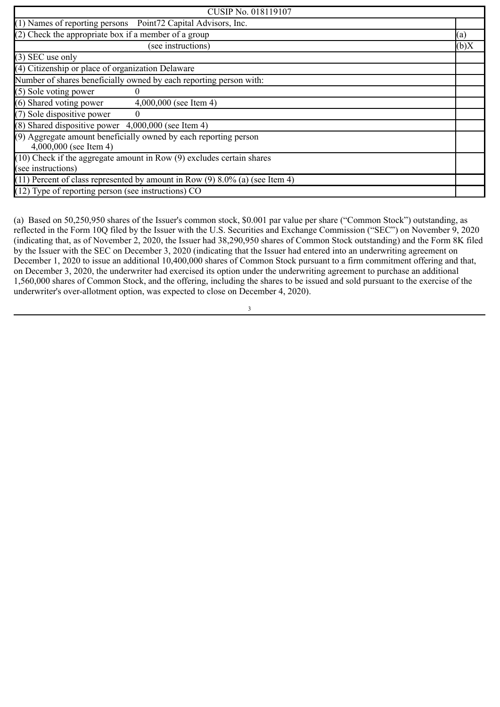| <b>CUSIP No. 018119107</b>                                                                      |      |
|-------------------------------------------------------------------------------------------------|------|
| (1) Names of reporting persons Point72 Capital Advisors, Inc.                                   |      |
| (2) Check the appropriate box if a member of a group                                            | (a)  |
| (see instructions)                                                                              | (b)X |
| $(3)$ SEC use only                                                                              |      |
| (4) Citizenship or place of organization Delaware                                               |      |
| Number of shares beneficially owned by each reporting person with:                              |      |
| (5) Sole voting power                                                                           |      |
| (6) Shared voting power<br>$4,000,000$ (see Item 4)                                             |      |
| (7) Sole dispositive power<br>$\overline{0}$                                                    |      |
| $(8)$ Shared dispositive power $4,000,000$ (see Item 4)                                         |      |
| (9) Aggregate amount beneficially owned by each reporting person<br>$4,000,000$ (see Item 4)    |      |
| $(10)$ Check if the aggregate amount in Row $(9)$ excludes certain shares<br>(see instructions) |      |
| $(11)$ Percent of class represented by amount in Row $(9)$ 8.0% (a) (see Item 4)                |      |
| (12) Type of reporting person (see instructions) CO                                             |      |

(a) Based on 50,250,950 shares of the Issuer's common stock, \$0.001 par value per share ("Common Stock") outstanding, as reflected in the Form 10Q filed by the Issuer with the U.S. Securities and Exchange Commission ("SEC") on November 9, 2020 (indicating that, as of November 2, 2020, the Issuer had 38,290,950 shares of Common Stock outstanding) and the Form 8K filed by the Issuer with the SEC on December 3, 2020 (indicating that the Issuer had entered into an underwriting agreement on December 1, 2020 to issue an additional 10,400,000 shares of Common Stock pursuant to a firm commitment offering and that, on December 3, 2020, the underwriter had exercised its option under the underwriting agreement to purchase an additional 1,560,000 shares of Common Stock, and the offering, including the shares to be issued and sold pursuant to the exercise of the underwriter's over-allotment option, was expected to close on December 4, 2020).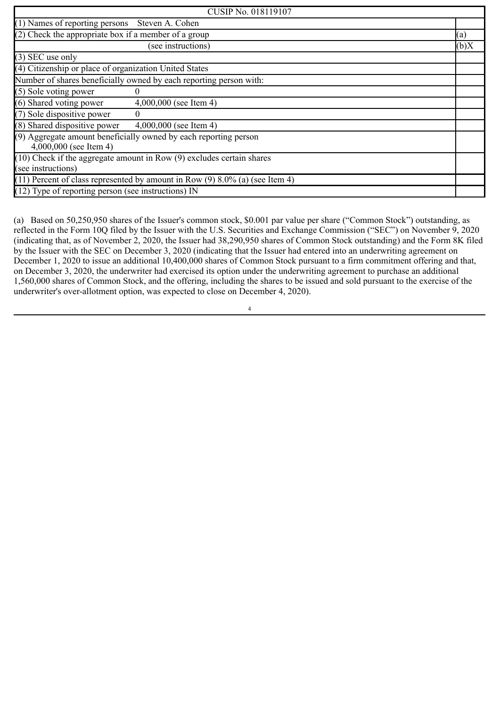| <b>CUSIP No. 018119107</b>                                                                      |      |
|-------------------------------------------------------------------------------------------------|------|
| (1) Names of reporting persons Steven A. Cohen                                                  |      |
| $(2)$ Check the appropriate box if a member of a group                                          | (a)  |
| (see instructions)                                                                              | (b)X |
| $(3)$ SEC use only                                                                              |      |
| (4) Citizenship or place of organization United States                                          |      |
| Number of shares beneficially owned by each reporting person with:                              |      |
| (5) Sole voting power                                                                           |      |
| (6) Shared voting power<br>$4,000,000$ (see Item 4)                                             |      |
| (7) Sole dispositive power<br>$\theta$                                                          |      |
| (8) Shared dispositive power<br>$4,000,000$ (see Item 4)                                        |      |
| (9) Aggregate amount beneficially owned by each reporting person<br>$4,000,000$ (see Item 4)    |      |
| $(10)$ Check if the aggregate amount in Row $(9)$ excludes certain shares<br>(see instructions) |      |
| $(11)$ Percent of class represented by amount in Row $(9)$ 8.0% (a) (see Item 4)                |      |
| $(12)$ Type of reporting person (see instructions) IN                                           |      |

(a) Based on 50,250,950 shares of the Issuer's common stock, \$0.001 par value per share ("Common Stock") outstanding, as reflected in the Form 10Q filed by the Issuer with the U.S. Securities and Exchange Commission ("SEC") on November 9, 2020 (indicating that, as of November 2, 2020, the Issuer had 38,290,950 shares of Common Stock outstanding) and the Form 8K filed by the Issuer with the SEC on December 3, 2020 (indicating that the Issuer had entered into an underwriting agreement on December 1, 2020 to issue an additional 10,400,000 shares of Common Stock pursuant to a firm commitment offering and that, on December 3, 2020, the underwriter had exercised its option under the underwriting agreement to purchase an additional 1,560,000 shares of Common Stock, and the offering, including the shares to be issued and sold pursuant to the exercise of the underwriter's over-allotment option, was expected to close on December 4, 2020).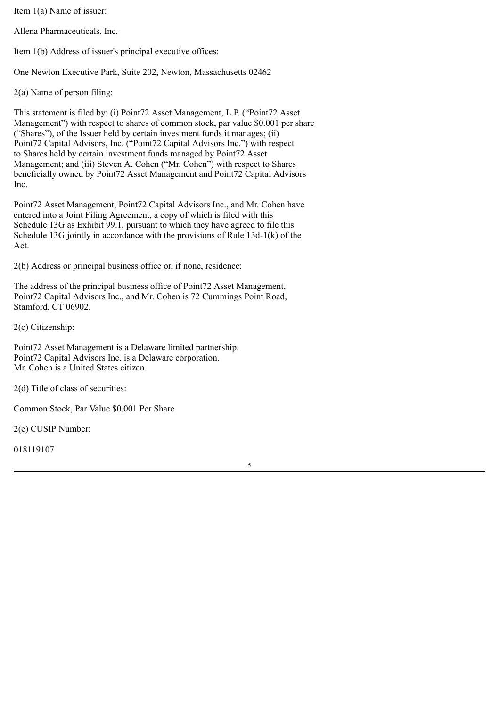Item 1(a) Name of issuer:

Allena Pharmaceuticals, Inc.

Item 1(b) Address of issuer's principal executive offices:

One Newton Executive Park, Suite 202, Newton, Massachusetts 02462

2(a) Name of person filing:

This statement is filed by: (i) Point72 Asset Management, L.P. ("Point72 Asset Management") with respect to shares of common stock, par value \$0.001 per share ("Shares"), of the Issuer held by certain investment funds it manages; (ii) Point72 Capital Advisors, Inc. ("Point72 Capital Advisors Inc.") with respect to Shares held by certain investment funds managed by Point72 Asset Management; and (iii) Steven A. Cohen ("Mr. Cohen") with respect to Shares beneficially owned by Point72 Asset Management and Point72 Capital Advisors Inc.

Point72 Asset Management, Point72 Capital Advisors Inc., and Mr. Cohen have entered into a Joint Filing Agreement, a copy of which is filed with this Schedule 13G as Exhibit 99.1, pursuant to which they have agreed to file this Schedule 13G jointly in accordance with the provisions of Rule 13d-1(k) of the Act.

2(b) Address or principal business office or, if none, residence:

The address of the principal business office of Point72 Asset Management, Point72 Capital Advisors Inc., and Mr. Cohen is 72 Cummings Point Road, Stamford, CT 06902.

5

2(c) Citizenship:

Point72 Asset Management is a Delaware limited partnership. Point72 Capital Advisors Inc. is a Delaware corporation. Mr. Cohen is a United States citizen.

2(d) Title of class of securities:

Common Stock, Par Value \$0.001 Per Share

2(e) CUSIP Number: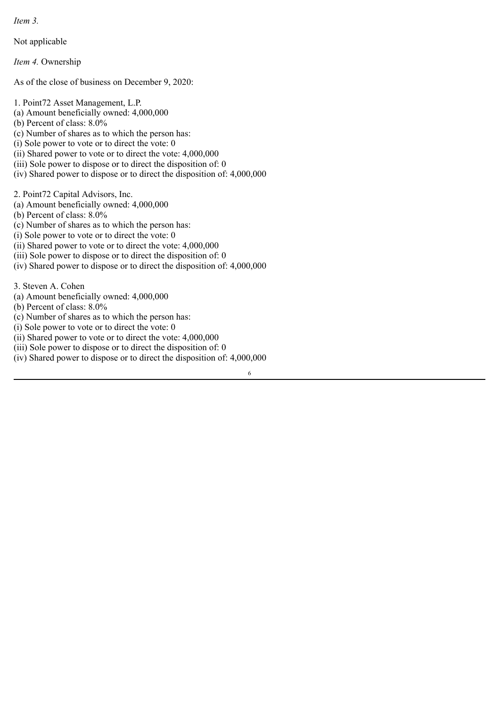*Item 3.*

Not applicable

*Item 4.* Ownership

As of the close of business on December 9, 2020:

1. Point72 Asset Management, L.P.

- (a) Amount beneficially owned: 4,000,000
- (b) Percent of class: 8.0%
- (c) Number of shares as to which the person has:
- (i) Sole power to vote or to direct the vote: 0
- (ii) Shared power to vote or to direct the vote: 4,000,000
- (iii) Sole power to dispose or to direct the disposition of: 0
- (iv) Shared power to dispose or to direct the disposition of: 4,000,000

2. Point72 Capital Advisors, Inc.

- (a) Amount beneficially owned: 4,000,000
- (b) Percent of class: 8.0%
- (c) Number of shares as to which the person has:
- $(i)$  Sole power to vote or to direct the vote: 0
- (ii) Shared power to vote or to direct the vote: 4,000,000
- (iii) Sole power to dispose or to direct the disposition of: 0
- (iv) Shared power to dispose or to direct the disposition of: 4,000,000

3. Steven A. Cohen

- (a) Amount beneficially owned: 4,000,000
- (b) Percent of class: 8.0%
- (c) Number of shares as to which the person has:
- (i) Sole power to vote or to direct the vote: 0
- (ii) Shared power to vote or to direct the vote: 4,000,000
- (iii) Sole power to dispose or to direct the disposition of: 0
- (iv) Shared power to dispose or to direct the disposition of: 4,000,000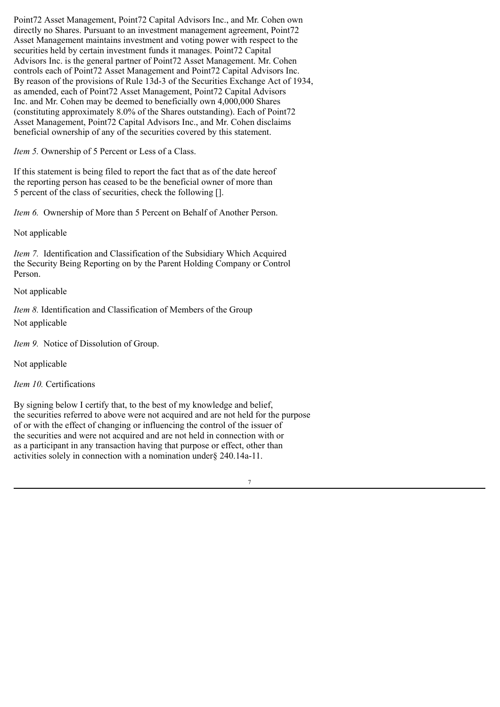Point72 Asset Management, Point72 Capital Advisors Inc., and Mr. Cohen own directly no Shares. Pursuant to an investment management agreement, Point72 Asset Management maintains investment and voting power with respect to the securities held by certain investment funds it manages. Point72 Capital Advisors Inc. is the general partner of Point72 Asset Management. Mr. Cohen controls each of Point72 Asset Management and Point72 Capital Advisors Inc. By reason of the provisions of Rule 13d-3 of the Securities Exchange Act of 1934, as amended, each of Point72 Asset Management, Point72 Capital Advisors Inc. and Mr. Cohen may be deemed to beneficially own 4,000,000 Shares (constituting approximately 8.0% of the Shares outstanding). Each of Point72 Asset Management, Point72 Capital Advisors Inc., and Mr. Cohen disclaims beneficial ownership of any of the securities covered by this statement.

*Item 5.* Ownership of 5 Percent or Less of a Class.

If this statement is being filed to report the fact that as of the date hereof the reporting person has ceased to be the beneficial owner of more than 5 percent of the class of securities, check the following [].

*Item 6.* Ownership of More than 5 Percent on Behalf of Another Person.

Not applicable

*Item 7.* Identification and Classification of the Subsidiary Which Acquired the Security Being Reporting on by the Parent Holding Company or Control Person.

## Not applicable

*Item 8.* Identification and Classification of Members of the Group Not applicable

*Item 9.* Notice of Dissolution of Group.

Not applicable

*Item 10.* Certifications

By signing below I certify that, to the best of my knowledge and belief, the securities referred to above were not acquired and are not held for the purpose of or with the effect of changing or influencing the control of the issuer of the securities and were not acquired and are not held in connection with or as a participant in any transaction having that purpose or effect, other than activities solely in connection with a nomination under§ 240.14a-11.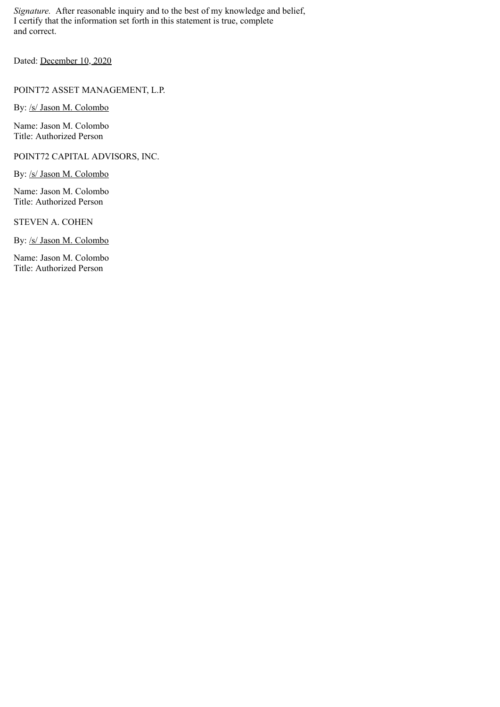*Signature.* After reasonable inquiry and to the best of my knowledge and belief, I certify that the information set forth in this statement is true, complete and correct.

Dated: December 10, 2020

POINT72 ASSET MANAGEMENT, L.P.

By: /s/ Jason M. Colombo

Name: Jason M. Colombo Title: Authorized Person

POINT72 CAPITAL ADVISORS, INC.

By: /s/ Jason M. Colombo

Name: Jason M. Colombo Title: Authorized Person

STEVEN A. COHEN

By: /s/ Jason M. Colombo

Name: Jason M. Colombo Title: Authorized Person